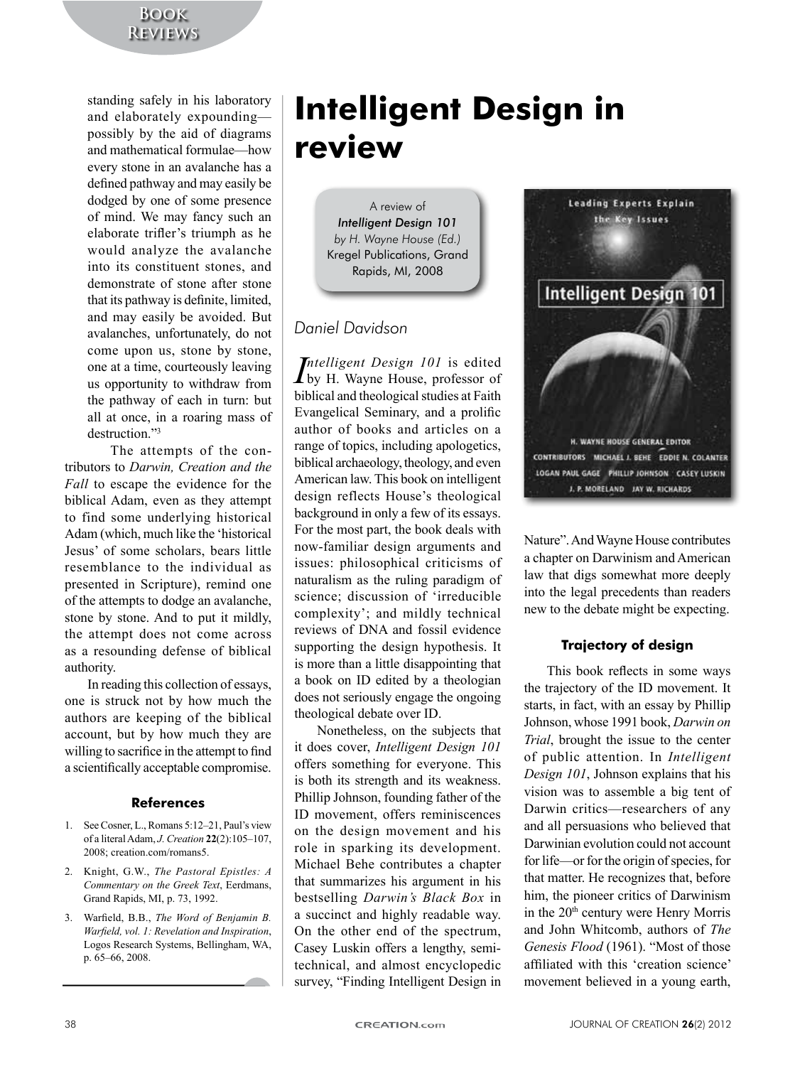standing safely in his laboratory and elaborately expounding possibly by the aid of diagrams and mathematical formulae—how every stone in an avalanche has a defined pathway and may easily be dodged by one of some presence of mind. We may fancy such an elaborate trifler's triumph as he would analyze the avalanche into its constituent stones, and demonstrate of stone after stone that its pathway is definite, limited, and may easily be avoided. But avalanches, unfortunately, do not come upon us, stone by stone, one at a time, courteously leaving us opportunity to withdraw from the pathway of each in turn: but all at once, in a roaring mass of destruction<sup>"3</sup>

The attempts of the contributors to Darwin, Creation and the *Fall* to escape the evidence for the biblical Adam, even as they attempt to find some underlying historical Adam (which, much like the 'historical Jesus' of some scholars, bears little resemblance to the individual as presented in Scripture), remind one of the attempts to dodge an avalanche, stone by stone. And to put it mildly, the attempt does not come across as a resounding defense of biblical authority.

In reading this collection of essays, one is struck not by how much the authors are keeping of the biblical account, but by how much they are willing to sacrifice in the attempt to find a scientifically acceptable compromise.

#### **References**

- 1. See Cosner, L., Romans 5:12-21, Paul's view of a literal Adam, *J. Creation* 22(2):105–107, 2008; creation.com/romans5.
- 2. Knight, G.W., *The Pastoral Epistles: A Commentary on the Greek Text*, Eerdmans, Grand Rapids, MI, p. 73, 1992.
- 3. Warfield, B.B., The Word of Benjamin B. *Warfield, vol. 1: Revelation and Inspiration,* Logos Research Systems, Bellingham, WA, p. 65–66, 2008.

# **Intelligent Design in review**

A review of *Intelligent Design 101 by H. Wayne House (Ed.)* Kregel Publications, Grand Rapids, MI, 2008

## *Daniel Davidson*

*Intelligent Design 101* is edited<br>by H. Wayne House, professor of *Intelligent Design 101* is edited biblical and theological studies at Faith Evangelical Seminary, and a prolific author of books and articles on a range of topics, including apologetics, biblical archaeology, theology, and even American law. This book on intelligent design reflects House's theological background in only a few of its essays. For the most part, the book deals with now-familiar design arguments and issues: philosophical criticisms of naturalism as the ruling paradigm of science; discussion of 'irreducible complexity'; and mildly technical reviews of DNA and fossil evidence supporting the design hypothesis. It is more than a little disappointing that a book on ID edited by a theologian does not seriously engage the ongoing theological debate over ID.

Nonetheless, on the subjects that it does cover, *Intelligent Design 101* offers something for everyone. This is both its strength and its weakness. Phillip Johnson, founding father of the ID movement, offers reminiscences on the design movement and his role in sparking its development. Michael Behe contributes a chapter that summarizes his argument in his bestselling *Darwin's Black Box* in a succinct and highly readable way. On the other end of the spectrum, Casey Luskin offers a lengthy, semitechnical, and almost encyclopedic survey, "Finding Intelligent Design in



Nature". And Wayne House contributes a chapter on Darwinism and American law that digs somewhat more deeply into the legal precedents than readers new to the debate might be expecting.

### **Trajectory of design**

This book reflects in some ways the trajectory of the ID movement. It starts, in fact, with an essay by Phillip Johnson, whose 1991 book, *Darwin on Trial*, brought the issue to the center of public attention. In *Intelligent Design 101*, Johnson explains that his vision was to assemble a big tent of Darwin critics—researchers of any and all persuasions who believed that Darwinian evolution could not account for life—or for the origin of species, for that matter. He recognizes that, before him, the pioneer critics of Darwinism in the  $20<sup>th</sup>$  century were Henry Morris and John Whitcomb, authors of The *Genesis Flood* (1961). "Most of those affiliated with this 'creation science' movement believed in a young earth,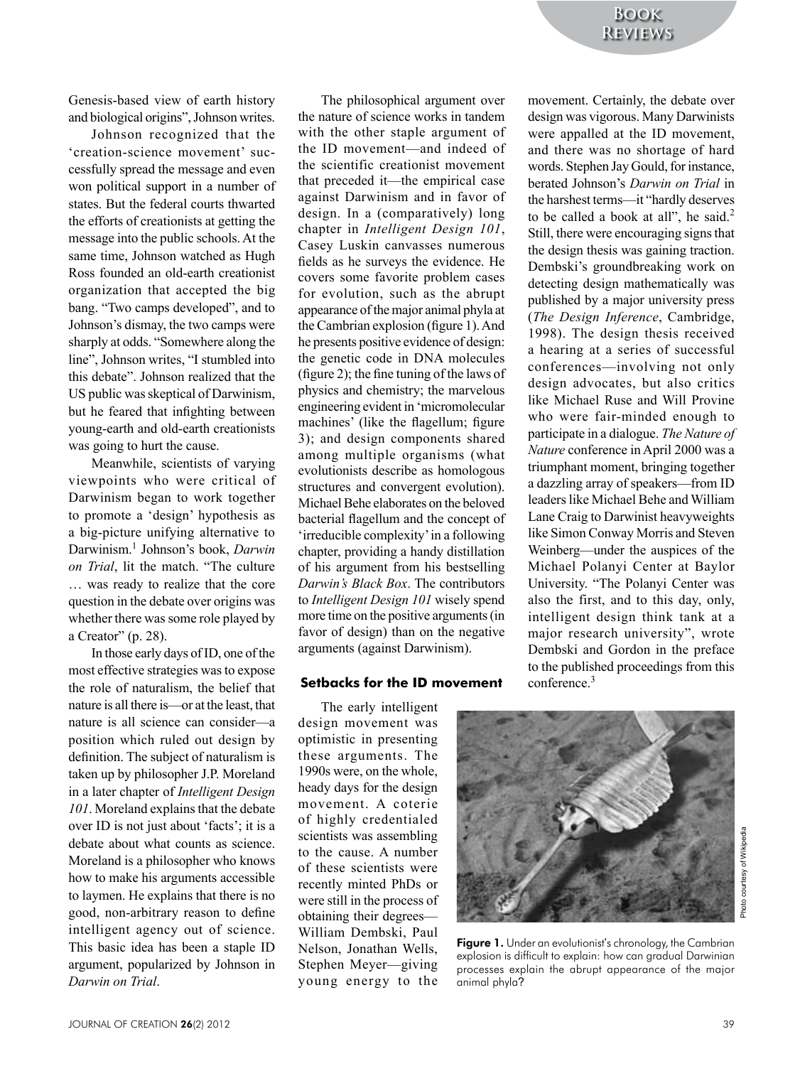Genesis-based view of earth history and biological origins". Johnson writes.

Johnson recognized that the 'creation-science movement' successfully spread the message and even won political support in a number of states. But the federal courts thwarted the efforts of creationists at getting the message into the public schools. At the same time. Johnson watched as Hugh Ross founded an old-earth creationist organization that accepted the big bang. "Two camps developed", and to Johnson's dismay, the two camps were sharply at odds. "Somewhere along the line", Johnson writes, "I stumbled into this debate". Johnson realized that the US public was skeptical of Darwinism. but he feared that infighting between young-earth and old-earth creationists was going to hurt the cause.

Meanwhile, scientists of varying viewpoints who were critical of Darwinism began to work together to promote a 'design' hypothesis as a big-picture unifying alternative to Darwinism.<sup>1</sup> Johnson's book, Darwin on Trial, lit the match. "The culture ... was ready to realize that the core question in the debate over origins was whether there was some role played by a Creator" (p. 28).

In those early days of ID, one of the most effective strategies was to expose the role of naturalism, the belief that nature is all there is **contact** the least, that nature is all science can consider—a position which ruled out design by definition. The subject of naturalism is taken up by philosopher J.P. Moreland in a later chapter of *Intelligent Design* 101. Moreland explains that the debate over ID is not just about 'facts'; it is a debate about what counts as science. Moreland is a philosopher who knows how to make his arguments accessible to laymen. He explains that there is no good, non-arbitrary reason to define intelligent agency out of science. This basic idea has been a staple ID argument, popularized by Johnson in Darwin on Trial

The philosophical argument over the nature of science works in tandem with the other staple argument of the ID movement—and indeed of the scientific creationist movement that preceded it—the empirical case against Darwinism and in favor of design. In a (comparatively) long chapter in Intelligent Design 101, Casey Luskin canvasses numerous fields as he surveys the evidence. He covers some favorite problem cases for evolution, such as the abrupt appearance of the major animal phyla at the Cambrian explosion (figure 1). And he presents positive evidence of design: the genetic code in DNA molecules (figure 2); the fine tuning of the laws of physics and chemistry; the marvelous engineering evident in 'micromolecular machines' (like the flagellum; figure 3); and design components shared among multiple organisms (what evolutionists describe as homologous structures and convergent evolution). Michael Behe elaborates on the beloved bacterial flagellum and the concept of 'irreducible complexity' in a following chapter, providing a handy distillation of his argument from his bestselling Darwin's Black Box. The contributors to Intelligent Design 101 wisely spend more time on the positive arguments (in favor of design) than on the negative arguments (against Darwinism).

#### **Setbacks for the ID movement**

The early intelligent design movement was optimistic in presenting these arguments. The 1990s were, on the whole, heady days for the design movement. A coterie of highly credentialed scientists was assembling to the cause. A number of these scientists were recently minted PhDs or were still in the process of obtaining their degrees— William Dembski, Paul Nelson, Jonathan Wells. Stephen Meyer-giving young energy to the movement. Certainly, the debate over design was vigorous. Many Darwinists were appalled at the ID movement, and there was no shortage of hard words. Stephen Jay Gould, for instance, berated Johnson's Darwin on Trial in the harshest terms--- it "hardly deserves to be called a book at all", he said.<sup>2</sup> Still, there were encouraging signs that the design thesis was gaining traction. Dembski's groundbreaking work on detecting design mathematically was published by a major university press (The Design Inference, Cambridge, 1998). The design thesis received a hearing at a series of successful conferences—involving not only design advocates, but also critics like Michael Ruse and Will Provine who were fair-minded enough to participate in a dialogue. The Nature of Nature conference in April 2000 was a triumphant moment, bringing together a dazzling array of speakers-from ID leaders like Michael Behe and William Lane Craig to Darwinist heavyweights like Simon Conway Morris and Steven Weinberg—under the auspices of the Michael Polanyi Center at Baylor University. "The Polanyi Center was also the first, and to this day, only, intelligent design think tank at a major research university", wrote Dembski and Gordon in the preface to the published proceedings from this conference. $3$ 



Figure 1. Under an evolutionist's chronology, the Cambrian explosion is difficult to explain: how can gradual Darwinian processes explain the abrupt appearance of the major animal phyla?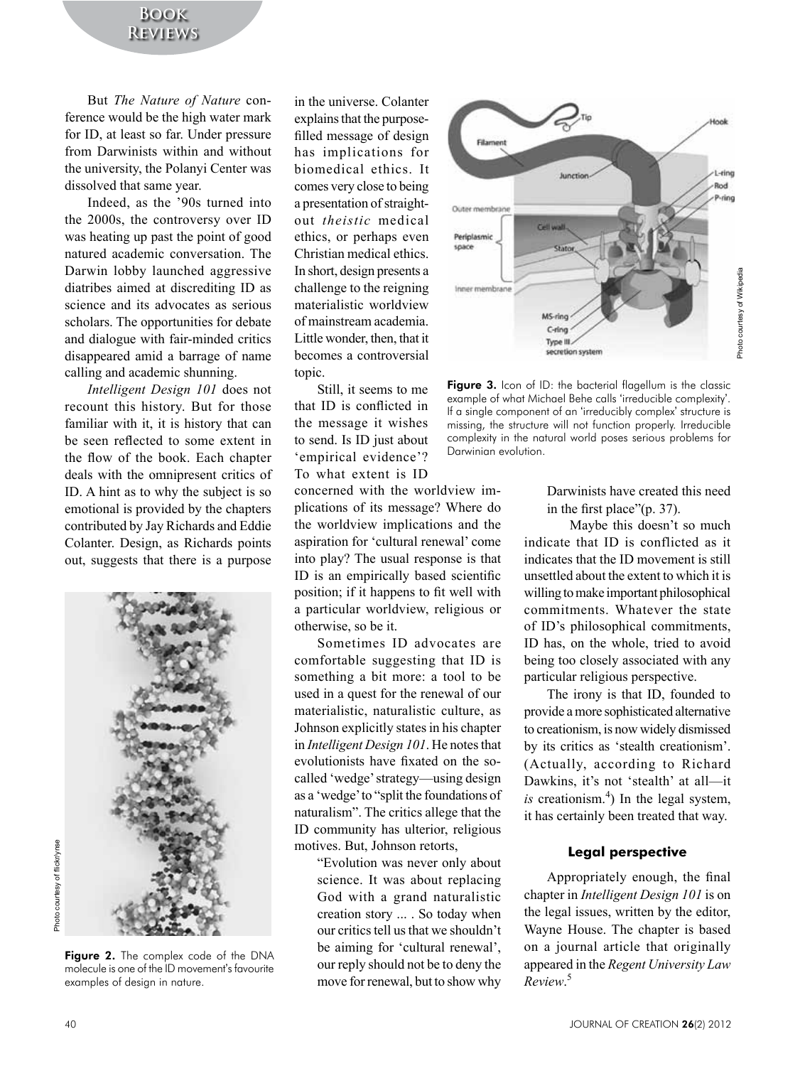## **Book Reviews**

But *The Nature of Nature* conference would be the high water mark for ID, at least so far. Under pressure from Darwinists within and without the university, the Polanyi Center was dissolved that same year.

Indeed, as the '90s turned into the  $2000s$ , the controversy over ID was heating up past the point of good natured academic conversation. The Darwin lobby launched aggressive diatribes aimed at discrediting ID as science and its advocates as serious scholars. The opportunities for debate and dialogue with fair-minded critics disappeared amid a barrage of name calling and academic shunning.

*Intelligent Design 101* does not recount this history. But for those familiar with it, it is history that can be seen reflected to some extent in the flow of the book. Each chapter deals with the omnipresent critics of ID. A hint as to why the subject is so emotional is provided by the chapters contributed by Jay Richards and Eddie Colanter. Design, as Richards points out, suggests that there is a purpose



Figure 2. The complex code of the DNA molecule is one of the ID movement's favourite examples of design in nature.

in the universe. Colanter explains that the purposefilled message of design has implications for biomedical ethics. It comes very close to being a presentation of straightout *theistic* medical ethics, or perhaps even Christian medical ethics. In short, design presents a challenge to the reigning materialistic worldview of mainstream academia Little wonder, then, that it becomes a controversial topic.

Still, it seems to me that ID is conflicted in the message it wishes to send. Is ID just about 'empirical evidence'? To what extent is ID

concerned with the worldview implications of its message? Where do the worldview implications and the aspiration for 'cultural renewal' come into play? The usual response is that ID is an empirically based scientific position; if it happens to fit well with a particular worldview, religious or otherwise, so be it.

Sometimes ID advocates are comfortable suggesting that ID is something a bit more: a tool to be used in a quest for the renewal of our materialistic, naturalistic culture, as Johnson explicitly states in his chapter in *Intelligent Design 101*. He notes that evolutionists have fixated on the socalled 'wedge' strategy—using design as a 'wedge' to "split the foundations of naturalism". The critics allege that the ID community has ulterior, religious motives. But, Johnson retorts,

"Evolution was never only about science. It was about replacing God with a grand naturalistic creation story ... . So today when our critics tell us that we shouldn't be aiming for 'cultural renewal', our reply should not be to deny the move for renewal, but to show why



Figure 3. Icon of ID: the bacterial flagellum is the classic example of what Michael Behe calls 'irreducible complexity'. If a single component of an 'irreducibly complex' structure is missing, the structure will not function properly. Irreducible complexity in the natural world poses serious problems for Darwinian evolution.

Darwinists have created this need in the first place" $(p. 37)$ .

Maybe this doesn't so much indicate that  $ID$  is conflicted as it indicates that the ID movement is still unsettled about the extent to which it is willing to make important philosophical commitments. Whatever the state of ID's philosophical commitments, ID has, on the whole, tried to avoid being too closely associated with any particular religious perspective.

The irony is that ID, founded to provide a more sophisticated alternative to creationism, is now widely dismissed by its critics as 'stealth creationism'. (Actually, according to Richard Dawkins, it's not 'stealth' at all—it is creationism.<sup>4</sup>) In the legal system, it has certainly been treated that way.

#### **Legal perspective**

Appropriately enough, the final chapter in *Intelligent Design 101* is on the legal issues, written by the editor, Wayne House. The chapter is based on a journal article that originally appeared in the *Regent University Law Review*. 5